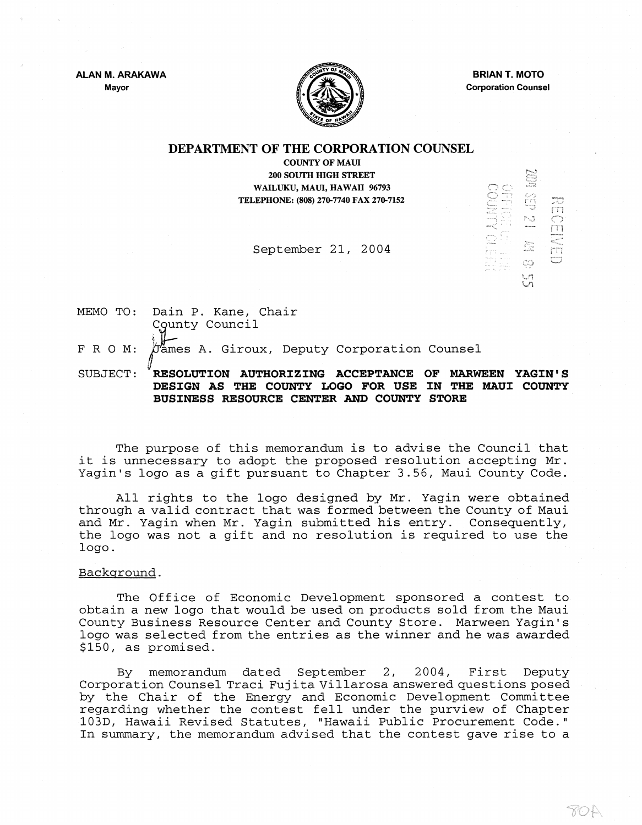ALAN M. ARAKAWA Mayor



BRIAN T. MOTO Corporation Counsel

SU NO CH

E<br>E<br>E<br>D<br>S<br>E<br>S<br>E<br>S<br>i<br>i<br><br><br><br><br><br><br><br>

NECENE

70 R

## DEPARTMENT OF THE CORPORATION COUNSEL

COUNTY OF MAUl 200 SOUTH HIGH STREET WAILUKU, MAUl, HAWAII 96793 TELEPHONE: (808) 270-7740 FAX 270-7152

September 21, 2004

MEMO TO: FRO M: Dain P. Kane, Chair County Council  $\sigma$ ames A. Giroux, Deputy Corporation Counsel II

SUBJECT: RESOLUTION AUTHORIZING ACCEPTANCE OF MARWEEN YAGIN'S DESIGN AS THE COUNTY LOGO FOR USE IN THE MAUl COUNTY BUSINESS RESOURCE CENTER AND COUNTY STORE

The purpose of this memorandum is to advise the Council that it is unnecessary to adopt the proposed resolution accepting Mr. Yagin's logo as a gift pursuant to Chapter 3.56, Maui County Code.

All rights to the logo designed by Mr. Yagin were obtained through a valid contract that was formed between the County of Maui and Mr. Yagin when Mr. yagin submitted his entry. Consequently, the logo was not a gift and no resolution is required to use the logo.

Backqround.

The Office of Economic Development sponsored a contest to obtain a new logo that would be used on products sold from the Maui County Business Resource Center and County Store. Marween Yagin 's logo was selected from the entries as the winner and he was awarded \$150, as promised.

By memorandum dated September 2, 2004, First Deputy Corporation Counsel Traci Fujita Villarosa answered questions posed by the Chair of the Energy and Economic Development Committee regarding whether the contest fell under the purview of Chapter 103D, Hawaii Revised Statutes, "Hawaii Public Procurement Code." In summary, the memorandum advised that the contest gave rise to a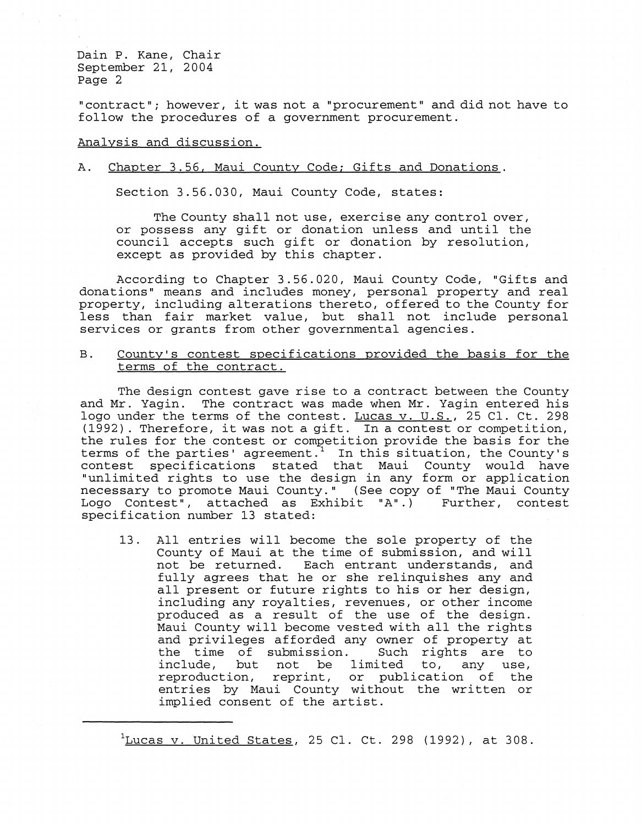Dain P. Kane, Chair September 21, 2004 Page 2

"contract"; however, it was not a "procurement" and did not have to follow the procedures of a government procurement.

#### Analysis and discussion.

### A. Chapter 3.56, Maui County Code; Gifts and Donations.

Section 3.56.030, Maui County Code, states:

The County shall not use, exercise any control over, or possess any gift or donation unless and until the council accepts such gift or donation by resolution, except as provided by this chapter.

According to Chapter 3.56.020, Maui County Code, "Cifts and donations" means and includes money, personal property and real property, including alterations thereto, offered to the County for less than fair market value, but shall not include personal services or grants from other governmental agencies.

B. County's contest specifications provided the basis for the terms of the contract.

The design contest gave rise to a contract between the County and Mr. yagin. The contract was made when Mr. Yagin entered his logo under the terms of the contest. Lucas v. U.S., 25 Cl. Ct. 298 (1992). Therefore, it was not a gift. In a contest or competition, the rules for the contest or competition provide the basis for the terms of the parties' agreement.<sup>1</sup> In this situation, the County's contest specifications stated that Maui County would have "unlimi ted rights to use the design in any form or application necessary to promote Maui County." (See copy of "The Maui County<br>Logo Contest", attached as Exhibit "A".) Further, contest Logo Contest", attached as Exhibit "A".) specification number 13 stated:

13. All entries will become the sole property of the County of Maui at the time of submission, and will<br>not be returned. Each entrant understands, and Each entrant understands, and fully agrees that he or she relinquishes any and all present or future rights to his or her design, including any royalties, revenues, or other income produced as a result of the use of the design. Maui County will become vested with all the rights and privileges afforded any owner of property at<br>the time of submission. Such rights are to the time of submission. Such rights are to<br>include, but not be limited to, any use, be limited to, reproduction, reprint, or publication of the entries by Maui County without the written or implied consent of the artist.

 $\frac{1}{2}$ Lucas v. United States, 25 Cl. Ct. 298 (1992), at 308.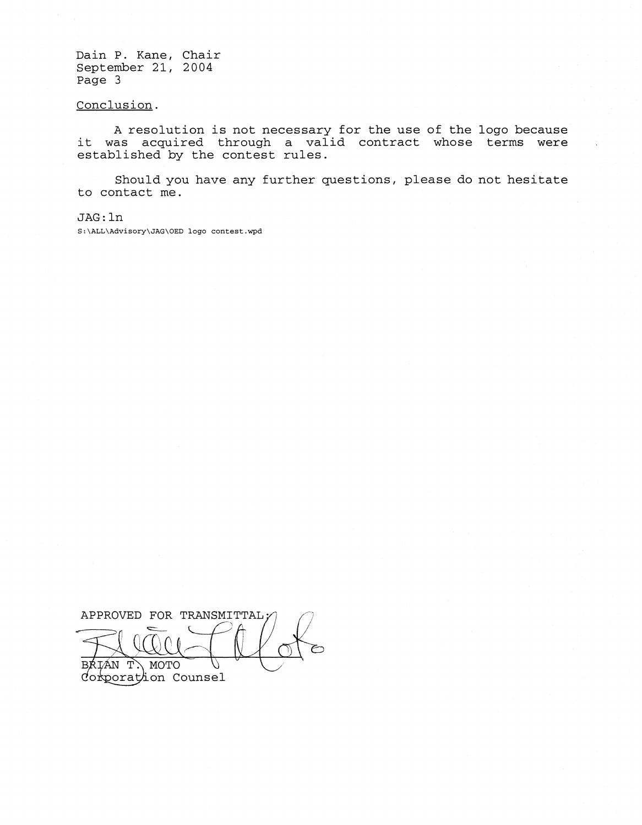Dain P. Kane, Chair September 21, 2004 Page 3

### Conclusion.

A resolution is not necessary for the use of the logo because it was acquired through a valid contract whose terms were established by the contest rules.

Should you have any further questions, please do not hesitate to contact me.

JAG: ln

S:\ALL\Advisory\JAG\OED logo contest.wpd

APPROVED FOR TRANSMITTAL: BRIÁN T. MOTO Ú<br>Corporation Counsel IÁN T. ВŔ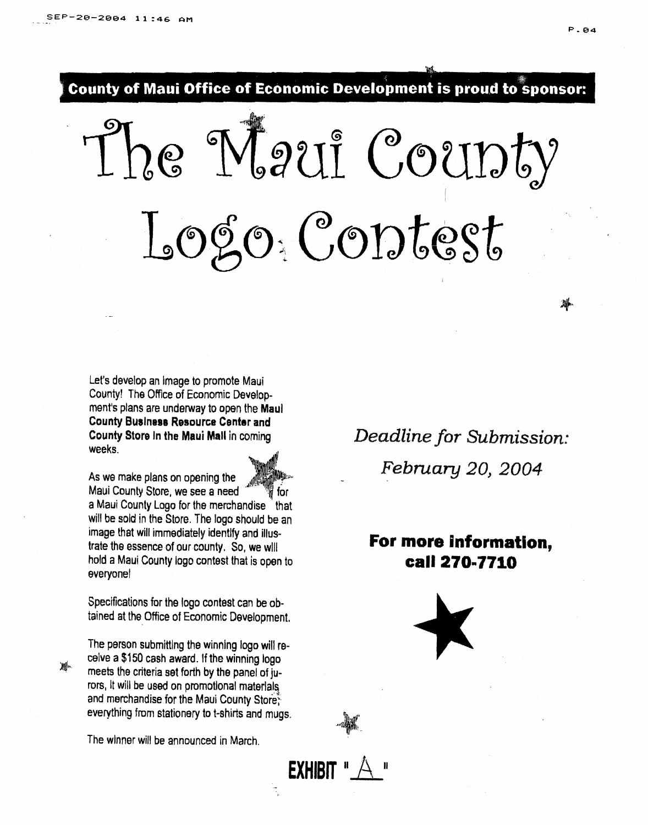County of Maui Office of Economic Development is proud to sponsor:

1/

he Naui Coupty I Logo Contest

Let's develop an Image to promote Maui County! The Office of Economic Develop· ment's plans are underway to open the Maul County Business Resource Center and County Stora In the Maui Mall in coming weeks.

As we make plans on opening the Maui County Store, we see a need for a Maui County Logo for the merchandise that will be sold in the Store. The logo should be an image that will immediately identify and illustrate the essence of our county. So, we will hold a Maui County logo contest that is open to everyone!

Specifications for the logo contest can be obtained at the Office of Economic Development.

The person submitting the winning logo will receive a \$150 cash award. If the winning logo *m*<sub>n.</sub> **meets** the criteria set forth by the panel of jurors, It will be used on promotional materials. and merchandise for the Maui County Store? everything from stationery to t-shirts and mugs.

The winner will be announced in March.

*Deadline for Submission:* February 20, 2004

**For more Information,**  call 270·7710





淋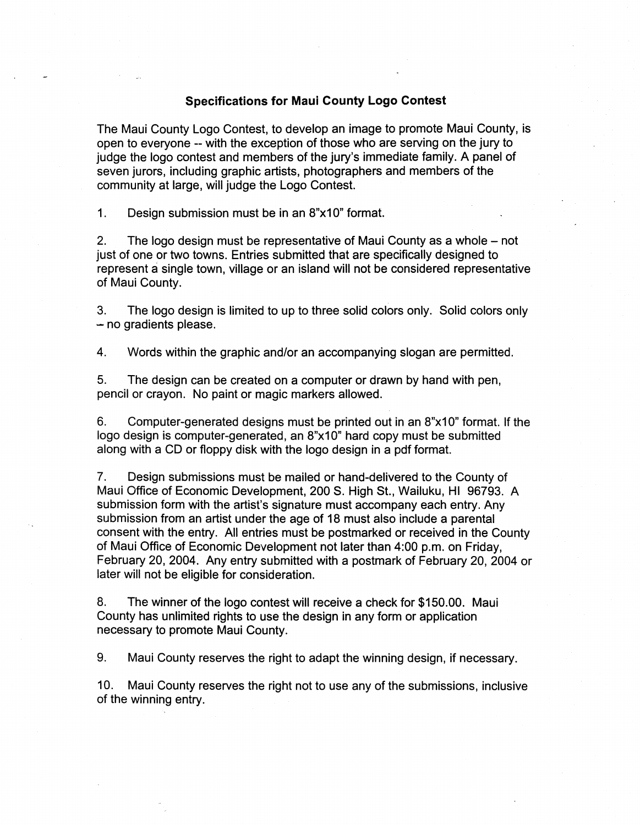## **Specifications for Maui County Logo Contest**

The Maui County Logo Contest, to develop an image to promote Maui County, is open to everyone -- with the exception of those who are serving on the jury to judge the logo contest and members of the jury's immediate family. A panel of seven jurors, including graphic artists, photographers and members of the community at large, will judge the Logo Contest.

1. Design submission must be in an 8"x10" format.

2. The logo design must be representative of Maui County as a whole – not just of one or two towns. Entries submitted that are specifically designed to represent a single town, village or an island will not be considered representative of Maui County.

3. The logo design is limited to up to three solid colors only. Solid colors only  $-$  no gradients please.

4. Words within the graphic and/or an accompanying slogan are permitted.

5. The design can be created on a computer or drawn by hand with pen, pencil or crayon. No paint or magic markers allowed.

6. Computer-generated designs must be printed out in an 8"x10" format. If the logo design is computer-generated, an 8"x10" hard copy must be submitted along with a CD or floppy disk with the logo design in a pdf format.

7. Design submissions must be mailed or hand-delivered to the County of Maui Office of Economic Development, 200 S. High St., Wailuku, HI 96793. A submission form with the artist's signature must accompany each entry. Any submission from an artist under the age of 18 must also include a parental consent with the entry. All entries must be postmarked or received in the County of Maui Office of Economic Development not later than 4:00 p.m. on Friday, February 20,2004. Any entry submitted with a postmark of February 20,2004 or later will not be eligible for consideration.

8. The winner of the logo contest will receive a check for \$150.00. Maui County has unlimited rights to use the design in any form or application necessary to promote Maui County.

9. Maui County reserves the right to adapt the winning design, if necessary.

10. Maui County reserves the right not to use any of the submissions, inclusive of the winning entry.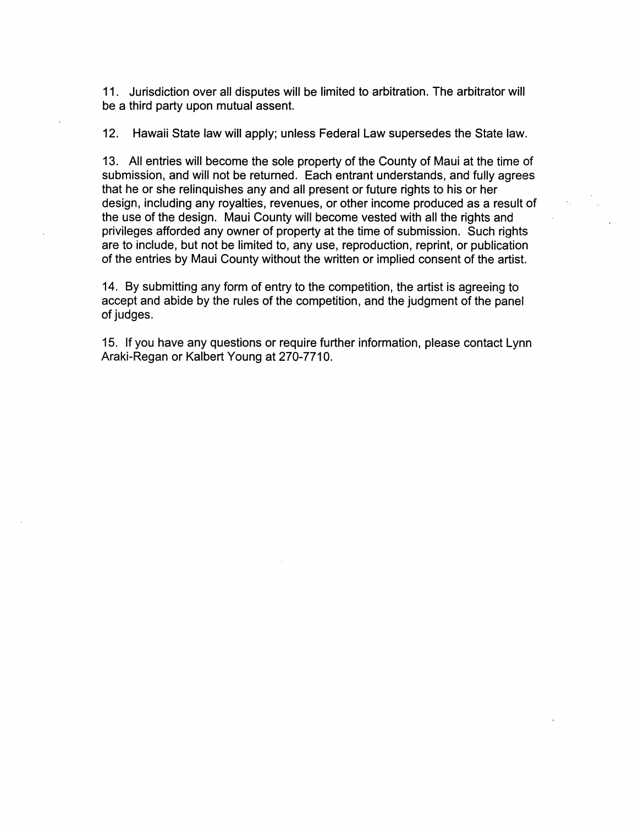11. Jurisdiction over all disputes will be limited to arbitration. The arbitrator will be a third party upon mutual assent.

12. Hawaii State law will apply; unless Federal Law supersedes the State law.

13. All entries will become the sole property of the County of Maui at the time of submission, and will not be returned. Each entrant understands, and fully agrees that he or she relinquishes any and all present or future rights to his or her design, including any royalties, revenues, or other income produced as a result of the use of the design. Maui County will become vested with all the rights and privileges afforded any owner of property at the time of submission. Such rights are to include, but not be limited to, any use, reproduction, reprint, or publication of the entries by Maui County without the written or implied consent of the artist.

14. By submitting any form of entry to the competition, the artist is agreeing to accept and abide by the rules of the competition, and the judgment of the panel of judges.

15. If you have any questions or require further information, please contact Lynn Araki-Regan or Kalbert Young at 270-7710.